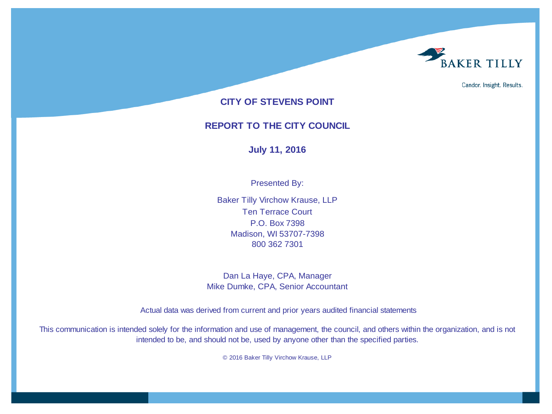

Candor. Insight. Results.

### **CITY OF STEVENS POINT**

### **REPORT TO THE CITY COUNCIL**

### **July 11, 2016**

Presented By:

Baker Tilly Virchow Krause, LLP Ten Terrace Court P.O. Box 7398 Madison, WI 53707-7398 800 362 7301

Dan La Haye, CPA, Manager Mike Dumke, CPA, Senior Accountant

Actual data was derived from current and prior years audited financial statements

This communication is intended solely for the information and use of management, the council, and others within the organization, and is not intended to be, and should not be, used by anyone other than the specified parties.

© 2016 Baker Tilly Virchow Krause, LLP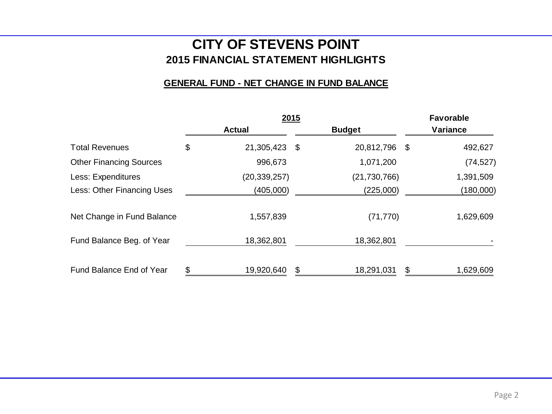## **2015 FINANCIAL STATEMENT HIGHLIGHTS CITY OF STEVENS POINT**

### **GENERAL FUND - NET CHANGE IN FUND BALANCE**

|                                |                     | 2015 |                | <b>Favorable</b> |
|--------------------------------|---------------------|------|----------------|------------------|
|                                | <b>Actual</b>       |      | <b>Budget</b>  | Variance         |
| <b>Total Revenues</b>          | \$<br>21,305,423 \$ |      | 20,812,796 \$  | 492,627          |
| <b>Other Financing Sources</b> | 996,673             |      | 1,071,200      | (74, 527)        |
| Less: Expenditures             | (20, 339, 257)      |      | (21, 730, 766) | 1,391,509        |
| Less: Other Financing Uses     | (405,000)           |      | (225,000)      | (180,000)        |
| Net Change in Fund Balance     | 1,557,839           |      | (71, 770)      | 1,629,609        |
| Fund Balance Beg. of Year      | 18,362,801          |      | 18,362,801     |                  |
| Fund Balance End of Year       | \$<br>19,920,640    | \$   | 18,291,031     | \$<br>1,629,609  |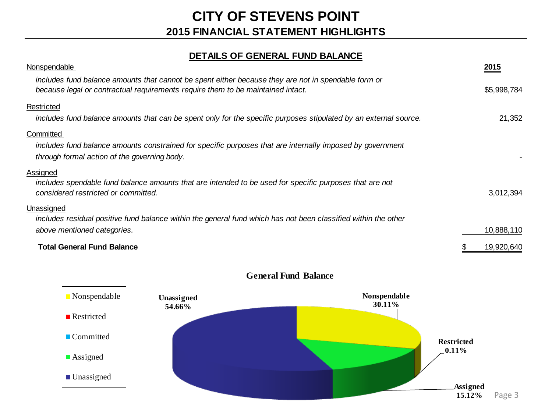### **DETAILS OF GENERAL FUND BALANCE**

| Nonspendable                                                                                                                                                                           | 2015        |
|----------------------------------------------------------------------------------------------------------------------------------------------------------------------------------------|-------------|
| includes fund balance amounts that cannot be spent either because they are not in spendable form or<br>because legal or contractual requirements require them to be maintained intact. | \$5,998,784 |
| Restricted                                                                                                                                                                             |             |
| includes fund balance amounts that can be spent only for the specific purposes stipulated by an external source.                                                                       | 21,352      |
| Committed                                                                                                                                                                              |             |
| includes fund balance amounts constrained for specific purposes that are internally imposed by government<br>through formal action of the governing body.                              |             |
| Assigned<br>includes spendable fund balance amounts that are intended to be used for specific purposes that are not<br>considered restricted or committed.                             | 3,012,394   |
| Unassigned<br>includes residual positive fund balance within the general fund which has not been classified within the other                                                           |             |
| above mentioned categories.                                                                                                                                                            | 10,888,110  |
| <b>Total General Fund Balance</b>                                                                                                                                                      | 19,920,640  |



### **General Fund Balance**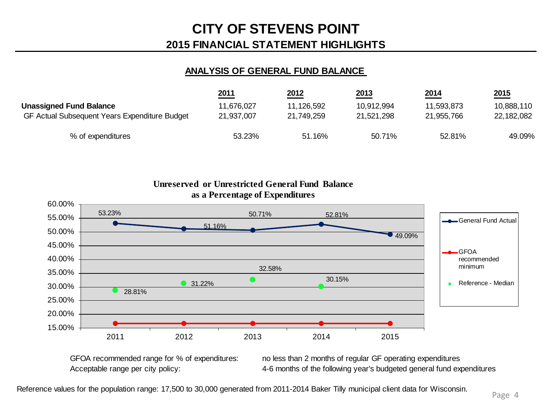### **ANALYSIS OF GENERAL FUND BALANCE**

|                                               | 2011       | 2012       | 2013       | 2014       | 2015       |
|-----------------------------------------------|------------|------------|------------|------------|------------|
| <b>Unassigned Fund Balance</b>                | 11,676,027 | 11,126,592 | 10,912,994 | 11,593,873 | 10,888,110 |
| GF Actual Subsequent Years Expenditure Budget | 21.937.007 | 21,749,259 | 21.521.298 | 21.955.766 | 22,182,082 |
| % of expenditures                             | 53.23%     | 51.16%     | 50.71%     | 52.81%     | 49.09%     |

53.23% 51.16% 50.71% 52.81% 49.09% 28.81% **31.22%** 32.58% 30.15% 15.00% 20.00% 25.00% 30.00% 35.00% 40.00% 45.00% 50.00% 55.00% 60.00% 2011 2012 2013 2014 2015 **as a Percentage of Expenditures** General Fund Actual GFOA recommended minimum Reference - Median

**Unreserved or Unrestricted General Fund Balance** 

GFOA recommended range for % of expenditures: no less than 2 months of regular GF operating expenditures Acceptable range per city policy: 4-6 months of the following year's budgeted general fund expenditures

Reference values for the population range: 17,500 to 30,000 generated from 2011-2014 Baker Tilly municipal client data for Wisconsin.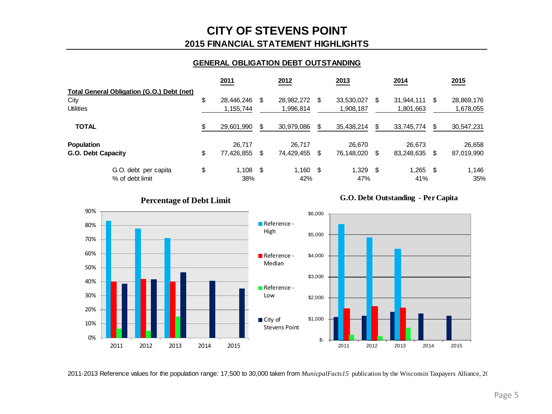### **GENERAL OBLIGATION DEBT OUTSTANDING**

|                                            |                      | 2011             |   | 2012       |    | 2013       |      | 2014       |      | 2015       |
|--------------------------------------------|----------------------|------------------|---|------------|----|------------|------|------------|------|------------|
| Total General Obligation (G.O.) Debt (net) |                      |                  |   |            |    |            |      |            |      |            |
| City                                       |                      | \$<br>28,446,246 | S | 28,982,272 | S  | 33,530,027 | S    | 31.944.111 | \$.  | 28,869,176 |
| <b>Utilities</b>                           |                      | 1,155,744        |   | 1,996.814  |    | 1,908,187  |      | 1,801,663  |      | 1,678,055  |
| <b>TOTAL</b>                               |                      | 29,601,990       |   | 30,979,086 |    | 35,438,214 |      | 33,745,774 |      | 30,547,231 |
| <b>Population</b>                          |                      | 26.717           |   | 26.717     |    | 26.670     |      | 26.673     |      | 26,658     |
| G.O. Debt Capacity                         |                      | \$<br>77,426,855 | S | 74,429,455 | \$ | 76,148,020 | S    | 83,248,635 | -\$  | 87,019,990 |
|                                            | G.O. debt per capita | \$<br>$1,108$ \$ |   | $1,160$ \$ |    | 1.329      | - \$ | 1.265      | - \$ | 1.146      |
| % of debt limit                            |                      | 38%              |   | 42%        |    | 47%        |      | 41%        |      | 35%        |



2011-2013 Reference values for the population range: 17,500 to 30,000 taken from *MunicpalFacts15* publication by the Wisconsin Taxpayers Alliance, 20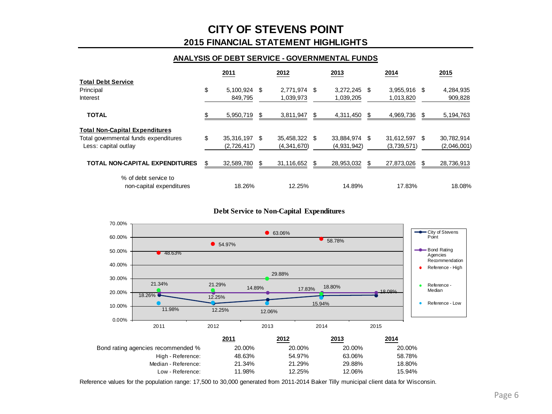### **2015 FINANCIAL STATEMENT HIGHLIGHTS CITY OF STEVENS POINT**

#### **ANALYSIS OF DEBT SERVICE - GOVERNMENTAL FUNDS**

|                                                  | 2011                |    | 2012          |   | 2013        |     | 2014         |      | 2015        |
|--------------------------------------------------|---------------------|----|---------------|---|-------------|-----|--------------|------|-------------|
| <b>Total Debt Service</b>                        |                     |    |               |   |             |     |              |      |             |
| Principal                                        | \$<br>5,100,924 \$  |    | 2,771,974 \$  |   | 3,272,245   | -\$ | 3,955,916 \$ |      | 4,284,935   |
| Interest                                         | 849,795             |    | 1,039,973     |   | 1,039,205   |     | 1,013,820    |      | 909,828     |
| <b>TOTAL</b>                                     | 5,950,719           | S  | 3,811,947     | S | 4,311,450   | S   | 4,969,736    | S    | 5, 194, 763 |
| <b>Total Non-Capital Expenditures</b>            |                     |    |               |   |             |     |              |      |             |
| Total governmental funds expenditures            | \$<br>35,316,197 \$ |    | 35,458,322 \$ |   | 33,884,974  | \$  | 31,612,597   | - \$ | 30,782,914  |
| Less: capital outlay                             | (2,726,417)         |    | (4,341,670)   |   | (4,931,942) |     | (3,739,571)  |      | (2,046,001) |
| <b>TOTAL NON-CAPITAL EXPENDITURES</b>            | \$<br>32,589,780    | \$ | 31,116,652    |   | 28,953,032  | \$  | 27,873,026   | \$.  | 28,736,913  |
| % of debt service to<br>non-capital expenditures | 18.26%              |    | 12.25%        |   | 14.89%      |     | 17.83%       |      | 18.08%      |

#### **Debt Service to Non-Capital Expenditures**



Reference values for the population range: 17,500 to 30,000 generated from 2011-2014 Baker Tilly municipal client data for Wisconsin.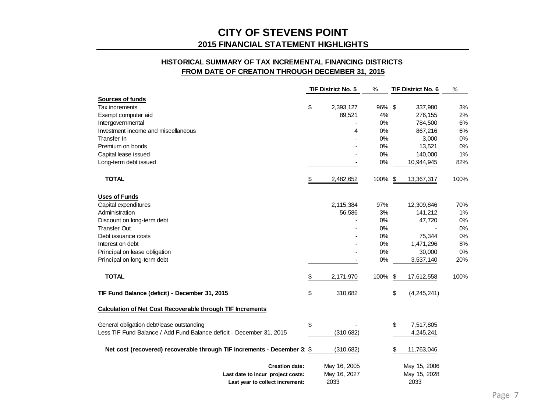#### **HISTORICAL SUMMARY OF TAX INCREMENTAL FINANCING DISTRICTS FROM DATE OF CREATION THROUGH DECEMBER 31, 2015**

|                                                                       | <b>TIF District No. 5</b> | %      | TIF District No. 6  | $\%$ |
|-----------------------------------------------------------------------|---------------------------|--------|---------------------|------|
| Sources of funds                                                      |                           |        |                     |      |
| Tax increments                                                        | \$<br>2,393,127           | 96% \$ | 337,980             | 3%   |
| Exempt computer aid                                                   | 89,521                    | 4%     | 276,155             | 2%   |
| Intergovernmental                                                     |                           | 0%     | 784,500             | 6%   |
| Investment income and miscellaneous                                   | 4                         | 0%     | 867,216             | 6%   |
| Transfer In                                                           |                           | 0%     | 3,000               | 0%   |
| Premium on bonds                                                      |                           | 0%     | 13,521              | 0%   |
| Capital lease issued                                                  |                           | 0%     | 140,000             | 1%   |
| Long-term debt issued                                                 |                           | 0%     | 10,944,945          | 82%  |
| <b>TOTAL</b>                                                          | \$<br>2,482,652           | 100%   | \$<br>13,367,317    | 100% |
| <b>Uses of Funds</b>                                                  |                           |        |                     |      |
| Capital expenditures                                                  | 2,115,384                 | 97%    | 12,309,846          | 70%  |
| Administration                                                        | 56,586                    | 3%     | 141,212             | 1%   |
| Discount on long-term debt                                            |                           | 0%     | 47,720              | 0%   |
| <b>Transfer Out</b>                                                   |                           | 0%     |                     | 0%   |
| Debt issuance costs                                                   |                           | 0%     | 75,344              | 0%   |
| Interest on debt                                                      |                           | 0%     | 1,471,296           | 8%   |
| Principal on lease obligation                                         |                           | 0%     | 30,000              | 0%   |
| Principal on long-term debt                                           |                           | 0%     | 3,537,140           | 20%  |
| <b>TOTAL</b>                                                          | \$<br>2,171,970           | 100%   | \$<br>17,612,558    | 100% |
| TIF Fund Balance (deficit) - December 31, 2015                        | \$<br>310,682             |        | \$<br>(4, 245, 241) |      |
| <b>Calculation of Net Cost Recoverable through TIF Increments</b>     |                           |        |                     |      |
| General obligation debt/lease outstanding                             | \$                        |        | \$<br>7,517,805     |      |
| Less TIF Fund Balance / Add Fund Balance deficit - December 31, 2015  | (310, 682)                |        | 4,245,241           |      |
| Net cost (recovered) recoverable through TIF increments - December 3' | \$<br>(310, 682)          |        | \$<br>11,763,046    |      |
| <b>Creation date:</b>                                                 | May 16, 2005              |        | May 15, 2006        |      |
| Last date to incur project costs:                                     | May 16, 2027              |        | May 15, 2028        |      |
| Last year to collect increment:                                       | 2033                      |        | 2033                |      |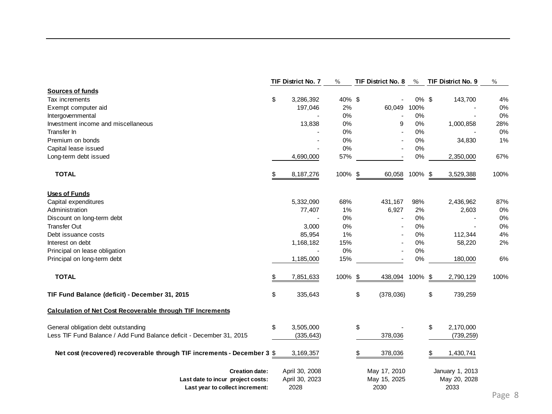|                                                                         |     | <b>TIF District No. 7</b> | $\%$    | <b>TIF District No. 8</b> | $\%$    | TIF District No. 9 | $\%$ |
|-------------------------------------------------------------------------|-----|---------------------------|---------|---------------------------|---------|--------------------|------|
| <b>Sources of funds</b>                                                 |     |                           |         |                           |         |                    |      |
| Tax increments                                                          | \$  | 3,286,392                 | 40% \$  |                           | 0% \$   | 143,700            | 4%   |
| Exempt computer aid                                                     |     | 197,046                   | 2%      | 60,049                    | 100%    |                    | 0%   |
| Intergovernmental                                                       |     |                           | 0%      |                           | 0%      |                    | 0%   |
| Investment income and miscellaneous                                     |     | 13,838                    | $0\%$   | 9                         | 0%      | 1,000,858          | 28%  |
| Transfer In                                                             |     |                           | 0%      |                           | 0%      |                    | 0%   |
| Premium on bonds                                                        |     |                           | 0%      |                           | 0%      | 34,830             | 1%   |
| Capital lease issued                                                    |     |                           | 0%      |                           | 0%      |                    |      |
| Long-term debt issued                                                   |     | 4,690,000                 | 57%     |                           | 0%      | 2,350,000          | 67%  |
| <b>TOTAL</b>                                                            | \$. | 8,187,276                 | 100% \$ | 60,058                    | 100% \$ | 3,529,388          | 100% |
| <b>Uses of Funds</b>                                                    |     |                           |         |                           |         |                    |      |
| Capital expenditures                                                    |     | 5,332,090                 | 68%     | 431,167                   | 98%     | 2,436,962          | 87%  |
| Administration                                                          |     | 77,407                    | 1%      | 6,927                     | 2%      | 2,603              | 0%   |
| Discount on long-term debt                                              |     |                           | 0%      |                           | 0%      |                    | 0%   |
| <b>Transfer Out</b>                                                     |     | 3,000                     | $0\%$   |                           | $0\%$   |                    | 0%   |
| Debt issuance costs                                                     |     | 85,954                    | 1%      |                           | 0%      | 112,344            | 4%   |
| Interest on debt                                                        |     | 1,168,182                 | 15%     |                           | 0%      | 58,220             | 2%   |
| Principal on lease obligation                                           |     |                           | 0%      |                           | 0%      |                    |      |
| Principal on long-term debt                                             |     | 1,185,000                 | 15%     |                           | 0%      | 180,000            | 6%   |
| <b>TOTAL</b>                                                            |     | 7,851,633                 | 100%    | \$<br>438,094             | 100%    | \$<br>2,790,129    | 100% |
| TIF Fund Balance (deficit) - December 31, 2015                          | \$  | 335,643                   |         | \$<br>(378,036)           |         | \$<br>739,259      |      |
| <b>Calculation of Net Cost Recoverable through TIF Increments</b>       |     |                           |         |                           |         |                    |      |
| General obligation debt outstanding                                     | \$  | 3,505,000                 |         | \$                        |         | \$<br>2,170,000    |      |
| Less TIF Fund Balance / Add Fund Balance deficit - December 31, 2015    |     | (335, 643)                |         | 378,036                   |         | (739, 259)         |      |
| Net cost (recovered) recoverable through TIF increments - December 3 \$ |     | 3,169,357                 |         | 378,036<br>\$             |         | 1,430,741<br>\$    |      |
| <b>Creation date:</b>                                                   |     | April 30, 2008            |         | May 17, 2010              |         | January 1, 2013    |      |
| Last date to incur project costs:                                       |     | April 30, 2023            |         | May 15, 2025              |         | May 20, 2028       |      |
| Last year to collect increment:                                         |     | 2028                      |         | 2030                      |         | 2033               |      |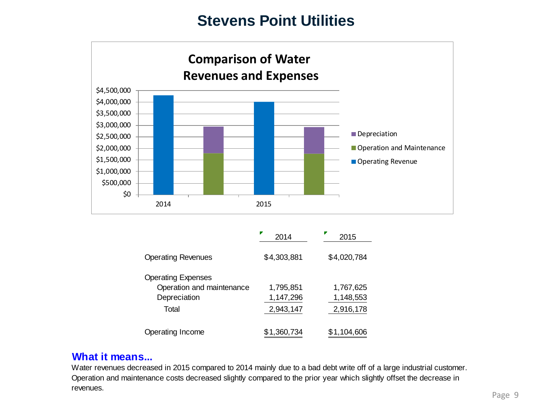

|                                                        | 2014        | 2015        |
|--------------------------------------------------------|-------------|-------------|
| <b>Operating Revenues</b>                              | \$4,303,881 | \$4,020,784 |
| <b>Operating Expenses</b><br>Operation and maintenance | 1,795,851   | 1,767,625   |
| Depreciation                                           | 1,147,296   | 1,148,553   |
| Total                                                  | 2,943,147   | 2,916,178   |
| Operating Income                                       | \$1,360,734 | \$1,104,606 |

### **What it means...**

Water revenues decreased in 2015 compared to 2014 mainly due to a bad debt write off of a large industrial customer. Operation and maintenance costs decreased slightly compared to the prior year which slightly offset the decrease in revenues.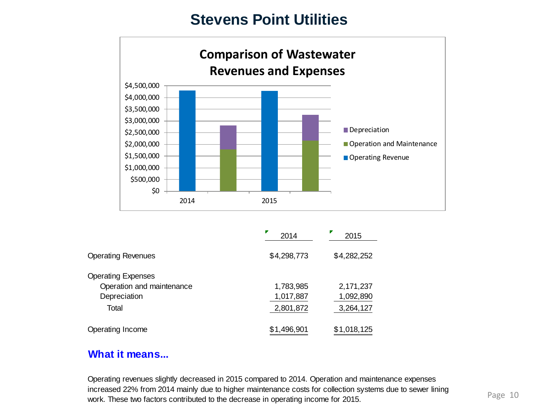

|                           | 2014        | 2015        |
|---------------------------|-------------|-------------|
| <b>Operating Revenues</b> | \$4,298,773 | \$4,282,252 |
| <b>Operating Expenses</b> |             |             |
| Operation and maintenance | 1,783,985   | 2,171,237   |
| Depreciation              | 1,017,887   | 1,092,890   |
| Total                     | 2,801,872   | 3,264,127   |
| Operating Income          | \$1,496,901 | \$1,018,125 |

### **What it means...**

Operating revenues slightly decreased in 2015 compared to 2014. Operation and maintenance expenses increased 22% from 2014 mainly due to higher maintenance costs for collection systems due to sewer lining work. These two factors contributed to the decrease in operating income for 2015.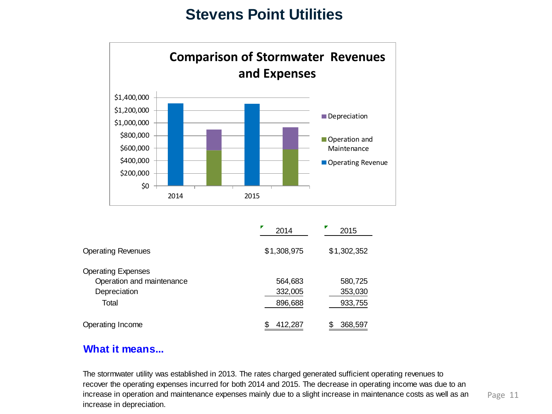

|                           | 2014        | 2015        |
|---------------------------|-------------|-------------|
| <b>Operating Revenues</b> | \$1,308,975 | \$1,302,352 |
| <b>Operating Expenses</b> |             |             |
| Operation and maintenance | 564,683     | 580,725     |
| Depreciation              | 332,005     | 353,030     |
| Total                     | 896,688     | 933,755     |
| Operating Income          | 412,287     | 368,597     |

### **What it means...**

The stormwater utility was established in 2013. The rates charged generated sufficient operating revenues to recover the operating expenses incurred for both 2014 and 2015. The decrease in operating income was due to an increase in operation and maintenance expenses mainly due to a slight increase in maintenance costs as well as an increase in depreciation.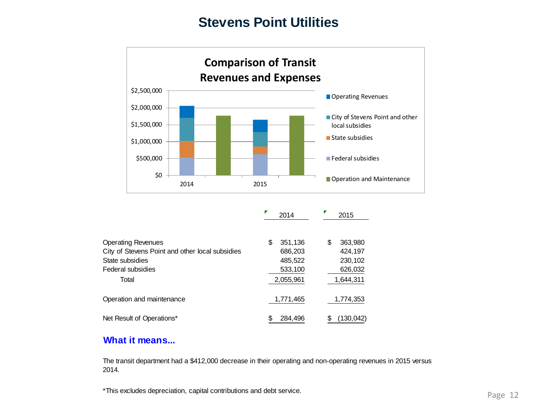

|                                                 | 2014         | 2015          |
|-------------------------------------------------|--------------|---------------|
| <b>Operating Revenues</b>                       | 351,136<br>S | 363,980<br>\$ |
| City of Stevens Point and other local subsidies | 686,203      | 424,197       |
| State subsidies                                 | 485,522      | 230,102       |
| Federal subsidies                               | 533,100      | 626,032       |
| Total                                           | 2,055,961    | 1,644,311     |
| Operation and maintenance                       | 1,771,465    | 1,774,353     |
| Net Result of Operations*                       | 284.496      | (130, 042)    |

### **What it means...**

The transit department had a \$412,000 decrease in their operating and non-operating revenues in 2015 versus 2014.

\*This excludes depreciation, capital contributions and debt service.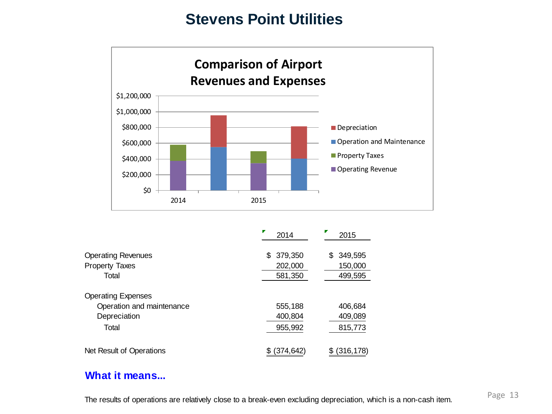

|                                                    | ₽<br>2014                 | 2015                      |
|----------------------------------------------------|---------------------------|---------------------------|
| <b>Operating Revenues</b><br><b>Property Taxes</b> | 379,350<br>SS.<br>202,000 | 349,595<br>\$.<br>150,000 |
| Total                                              | 581,350                   | 499,595                   |
| <b>Operating Expenses</b>                          |                           |                           |
| Operation and maintenance                          | 555,188                   | 406,684                   |
| Depreciation                                       | 400,804                   | 409,089                   |
| Total                                              | 955,992                   | 815,773                   |
| Net Result of Operations                           | (374,642                  | (316,178)                 |

### **What it means...**

The results of operations are relatively close to a break-even excluding depreciation, which is a non-cash item.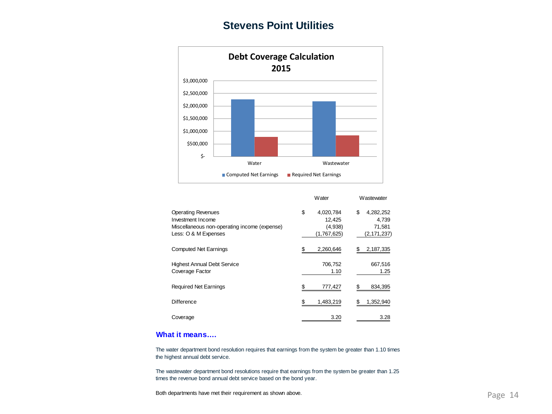

|                                                                                                                        | Water                                               | Wastewater                                          |
|------------------------------------------------------------------------------------------------------------------------|-----------------------------------------------------|-----------------------------------------------------|
| <b>Operating Revenues</b><br>Investment Income<br>Miscellaneous non-operating income (expense)<br>Less: O & M Expenses | \$<br>4,020,784<br>12.425<br>(4,938)<br>(1,767,625) | \$<br>4,282,252<br>4.739<br>71,581<br>(2, 171, 237) |
| <b>Computed Net Earnings</b>                                                                                           | 2,260,646                                           | 2,187,335                                           |
| <b>Highest Annual Debt Service</b><br>Coverage Factor                                                                  | 706,752<br>1.10                                     | 667,516<br>1.25                                     |
| <b>Required Net Earnings</b>                                                                                           | \$<br>777,427                                       | 834,395                                             |
| Difference                                                                                                             | 1,483,219<br>\$                                     | 1,352,940                                           |
| Coverage                                                                                                               | 3.20                                                | 3.28                                                |

#### **What it means….**

The water department bond resolution requires that earnings from the system be greater than 1.10 times the highest annual debt service.

The wastewater department bond resolutions require that earnings from the system be greater than 1.25 times the revenue bond annual debt service based on the bond year.

Both departments have met their requirement as shown above.